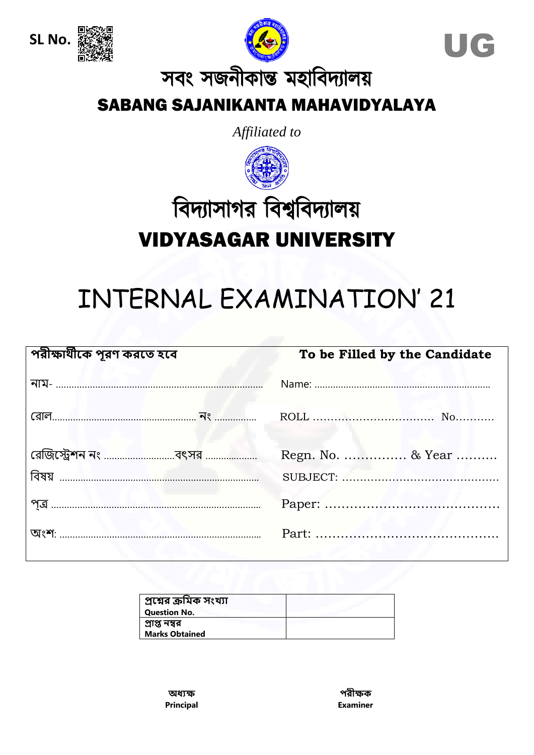

## SABANG SAJANIKANTA MAHAVIDYALAYA

*Affiliated to*



# ববদ্যাসাগর ববশ্বববদ্যালয়

## VIDYASAGAR UNIVERSITY

# INTERNAL EXAMINATION' 21

| <u>পরীক্ষার্থীকে পূরণ করতে হবে</u> |  | To be Filled by the Candidate |  |
|------------------------------------|--|-------------------------------|--|
|                                    |  |                               |  |
|                                    |  |                               |  |
|                                    |  |                               |  |
|                                    |  |                               |  |
|                                    |  |                               |  |

| প্রশ্নের ক্রমিক সংখ্যা |  |
|------------------------|--|
| <b>Question No.</b>    |  |
| প্ৰাপ্ত নম্বর          |  |
| <b>Marks Obtained</b>  |  |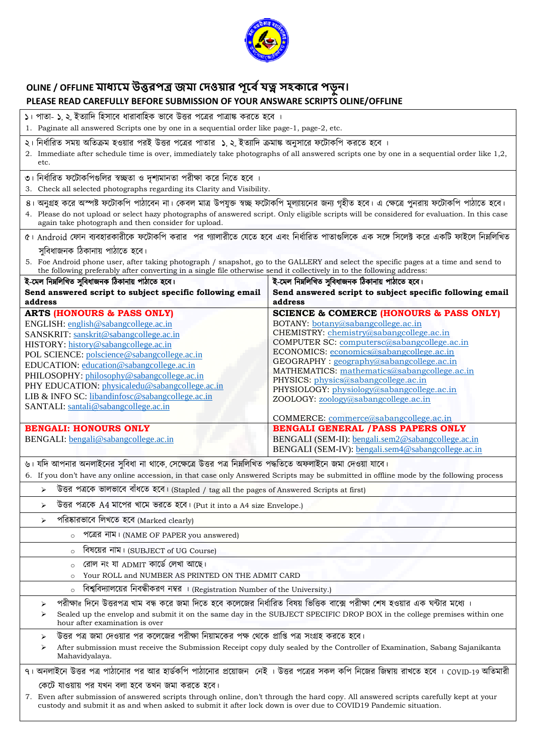

### **OLINE / OFFLINE িাধ্যকি উত্তরপত্র জিা দেওয়ার পূকে েযত্ন সহোকর পড়ুন।**

#### **PLEASE READ CAREFULLY BEFORE SUBMISSION OF YOUR ANSWARE SCRIPTS OLINE/OFFLINE**

১। পাতা- ১, ২, ইত্যাদি হিসাবে ধারাবাহিক ভাবে উত্তর পত্রের পাত্রাঙ্ক করতে হবে ।

1. Paginate all answered Scripts one by one in a sequential order like page-1, page-2, etc.

২। নির্ধারিত সময় অতিক্রম হওয়ার পরই উত্তর পত্রের পাতার ১, ২, ইত্যাদি ক্রমাঙ্ক অনুসারে ফটোকপি করতে হবে ।

2. Immediate after schedule time is over, immediately take photographs of all answered scripts one by one in a sequential order like 1,2, etc.

৩। নির্ধারিত ফটোকপিগুলির স্বচ্ছতা ও দশ্যমানতা পরীক্ষা করে নিতে হবে ।

3. Check all selected photographs regarding its Clarity and Visibility.

৪। অনগ্রহ করে অস্পষ্ট ফটোকপি পাঠাবেন না। কেবল মাত্র উপযুক্ত স্বচ্ছ ফটোকপি মূল্যায়নের জন্য গৃহীত হবে। এ ক্ষেত্রে পুনরায় ফটোকপি পাঠাতে হবে।

4. Please do not upload or select hazy photographs of answered script. Only eligible scripts will be considered for evaluation. In this case again take photograph and then consider for upload.

৫। Android ফোন ব্যবহারকারীকে ফটোকপি করার পর গ্যালারীতে যেতে হবে এবং নির্ধারিত পাতাগুলিকে এক সঙ্গে সিলেক্ট করে একটি ফাইলে নিম্নলিখিত সবিধাজনক ঠিকানায় পাঠাতে হবে।

5. Foe Android phone user, after taking photograph / snapshot, go to the GALLERY and select the specific pages at a time and send to the following preferably after converting in a single file otherwise send it collectively in to the following address:

| ই-মেল নিম্নলিখিত সুবিধাজনক ঠিকানায় পাঠাতে হবে।                                                                                                                                                                                                                                                                                                                                                                                                       | ই-মেল নিম্নলিখিত সুবিধাজনক ঠিকানায় পাঠাতে হবে।                                                                                                                                                                                                                                                                                                                                                                                                                                                          |  |
|-------------------------------------------------------------------------------------------------------------------------------------------------------------------------------------------------------------------------------------------------------------------------------------------------------------------------------------------------------------------------------------------------------------------------------------------------------|----------------------------------------------------------------------------------------------------------------------------------------------------------------------------------------------------------------------------------------------------------------------------------------------------------------------------------------------------------------------------------------------------------------------------------------------------------------------------------------------------------|--|
| Send answered script to subject specific following email                                                                                                                                                                                                                                                                                                                                                                                              | Send answered script to subject specific following email                                                                                                                                                                                                                                                                                                                                                                                                                                                 |  |
| address                                                                                                                                                                                                                                                                                                                                                                                                                                               | address                                                                                                                                                                                                                                                                                                                                                                                                                                                                                                  |  |
| <b>ARTS (HONOURS &amp; PASS ONLY)</b><br>ENGLISH: english@sabangcollege.ac.in<br>SANSKRIT: sanskrit@sabangcollege.ac.in<br>HISTORY: history@sabangcollege.ac.in<br>POL SCIENCE: polscience@sabangcollege.ac.in<br>EDUCATION: education@sabangcollege.ac.in<br>PHILOSOPHY: philosophy@sabangcollege.ac.in<br>PHY EDUCATION: physicaledu@sabangcollege.ac.in<br>LIB & INFO SC: libandinfosc@sabangcollege.ac.in<br>SANTALI: santali@sabangcollege.ac.in | <b>SCIENCE &amp; COMERCE (HONOURS &amp; PASS ONLY)</b><br>BOTANY: botany@sabangcollege.ac.in<br>CHEMISTRY: chemistry@sabangcollege.ac.in<br>COMPUTER SC: computersc@sabangcollege.ac.in<br>ECONOMICS: economics@sabangcollege.ac.in<br>GEOGRAPHY : geography@sabangcollege.ac.in<br>MATHEMATICS: mathematics@sabangcollege.ac.in<br>PHYSICS: physics@sabangcollege.ac.in<br>PHYSIOLOGY: physiology@sabangcollege.ac.in<br>ZOOLOGY: zoology@sabangcollege.ac.in<br>COMMERCE: commerce@sabangcollege.ac.in |  |
| <b>BENGALI: HONOURS ONLY</b>                                                                                                                                                                                                                                                                                                                                                                                                                          | BENGALI GENERAL / PASS PAPERS ONLY                                                                                                                                                                                                                                                                                                                                                                                                                                                                       |  |
| BENGALI: bengali@sabangcollege.ac.in                                                                                                                                                                                                                                                                                                                                                                                                                  | BENGALI (SEM-II): bengali.sem2@sabangcollege.ac.in                                                                                                                                                                                                                                                                                                                                                                                                                                                       |  |
| $\sim$ $\sim$ $\sim$                                                                                                                                                                                                                                                                                                                                                                                                                                  | BENGALI (SEM-IV): bengali.sem4@sabangcollege.ac.in                                                                                                                                                                                                                                                                                                                                                                                                                                                       |  |
| $\sim$                                                                                                                                                                                                                                                                                                                                                                                                                                                | $\sim$                                                                                                                                                                                                                                                                                                                                                                                                                                                                                                   |  |

৬। যদি আপনার অনলাইনের সুবিধা না থাকে, সেক্ষেত্রে উত্তর পত্র নিম্নলিখিত পদ্ধতিতে অফলাইনে জমা দেওয়া যাবে।

6. If you don't have any online accession, in that case only Answered Scripts may be submitted in offline mode by the following process

➢ উত্তর পেবক ভািভাবে োাঁধবত িবে। (Stapled / tag all the pages of Answered Scripts at first)

- $>$  উত্তর পত্রকে A4 মাপের খামে ভরতে হবে। (Put it into a A4 size Envelope.)
- $>$  পরিষ্কারভাবে লিখতে হবে (Marked clearly)
	- o পবের িাম। (NAME OF PAPER you answered)
	- o দেষবয়র িাম। (SUBJECT of UG Course)
	- o করাি নং যা ADMIT কার্ডেললখা আর্ে।
		- o Your ROLL and NUMBER AS PRINTED ON THE ADMIT CARD
		- o দেশ্বদেিযািবয়র দিেন্ধীকরণ িম্বর । (Registration Number of the University.)
- পরীক্ষার দিনে উত্তরপত্র খাম বন্ধ করে জমা দিতে হবে কলেজের নির্ধারিত বিষয় ভিত্তিক বাক্সে পরীক্ষা শেষ হওয়ার এক ঘন্টার মধ্যে ।

Sealed up the envelop and submit it on the same day in the SUBJECT SPECIFIC DROP BOX in the college premises within one hour after examination is over

উত্তর পত্র জমা দেওয়ার পর কলেজের পরীক্ষা নিয়ামকের পক্ষ থেকে প্রাপ্তি পত্র সংগ্রহ করতে হবে।

➢ After submission must receive the Submission Receipt copy duly sealed by the Controller of Examination, Sabang Sajanikanta Mahavidyalaya.

৭। অনলাইনে উত্তর পত্র পাঠানোর পর আর হার্ডকপি পাঠানোর প্রয়োজন নেই । উত্তর পত্রের সকল কপি নিজের জিম্বায় রাখতে হবে । covid-19 অতিমারী কেটে যাওয়ায় পর যখন বলা হবে তখন জমা করতে হবে।

7. Even after submission of answered scripts through online, don't through the hard copy. All answered scripts carefully kept at your custody and submit it as and when asked to submit it after lock down is over due to COVID19 Pandemic situation.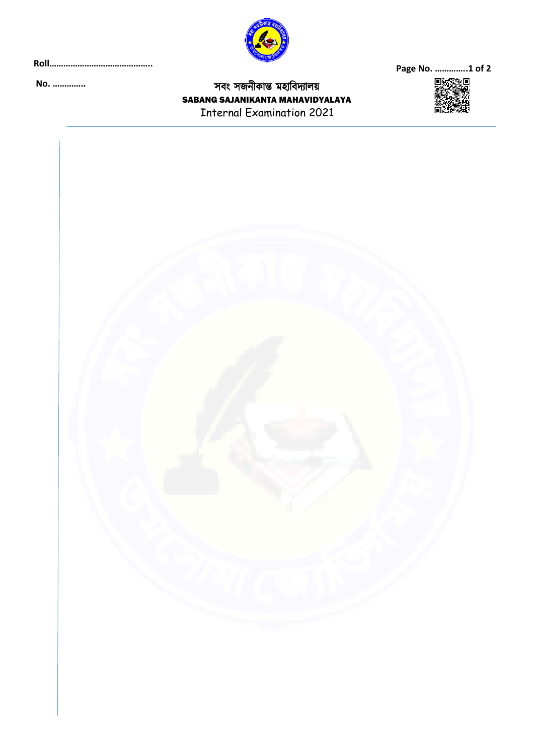

**Page No. ……………1 of 2**<br>**回**滅歌回



সবং সজনীকান্ত মহাববদ্যালয় SABANG SAJANIKANTA MAHAVIDYALAYA Internal Examination 2021



**Roll……………………………………..**

**No. …………..**